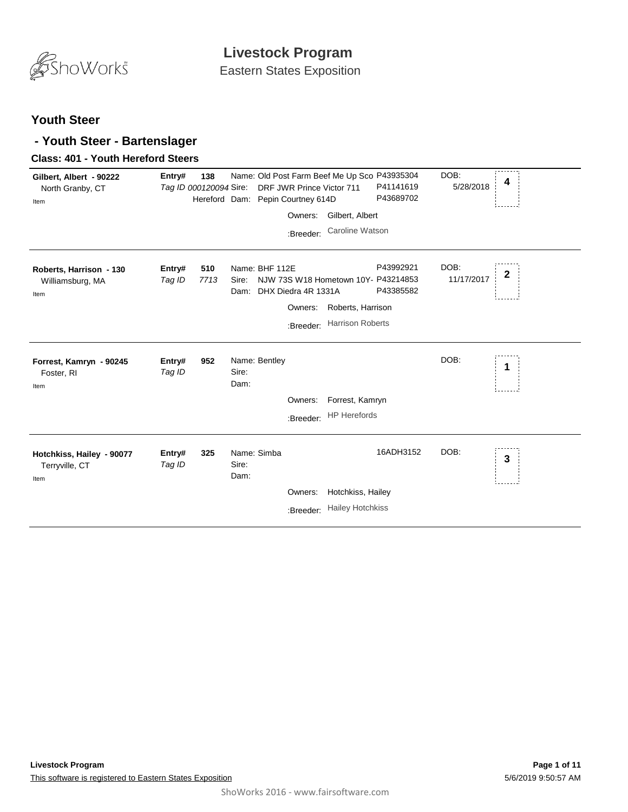

### **Youth Steer**

### **- Youth Steer - Bartenslager**

#### **Class: 401 - Youth Hereford Steers**

| Gilbert, Albert - 90222<br>North Granby, CT<br>Item | Entry#           | 138<br>Tag ID 000120094 Sire: |                              | Name: Old Post Farm Beef Me Up Sco P43935304<br>DRF JWR Prince Victor 711<br>Hereford Dam: Pepin Courtney 614D<br>Owners:<br>:Breeder: | Gilbert, Albert<br>Caroline Watson           | P41141619<br>P43689702 | DOB:<br>5/28/2018  | 4            |
|-----------------------------------------------------|------------------|-------------------------------|------------------------------|----------------------------------------------------------------------------------------------------------------------------------------|----------------------------------------------|------------------------|--------------------|--------------|
| Roberts, Harrison - 130<br>Williamsburg, MA<br>Item | Entry#<br>Tag ID | 510<br>7713                   | Sire:<br>Dam:                | Name: BHF 112E<br>NJW 73S W18 Hometown 10Y- P43214853<br>DHX Diedra 4R 1331A<br>Owners:<br>:Breeder:                                   | Roberts, Harrison<br><b>Harrison Roberts</b> | P43992921<br>P43385582 | DOB:<br>11/17/2017 | $\mathbf{2}$ |
| Forrest, Kamryn - 90245<br>Foster, RI<br>Item       | Entry#<br>Tag ID | 952                           | Sire:<br>Dam:                | Name: Bentley<br>Owners:                                                                                                               | Forrest, Kamryn<br>:Breeder: HP Herefords    |                        | DOB:               | 1            |
| Hotchkiss, Hailey - 90077<br>Terryville, CT<br>Item | Entry#<br>Tag ID | 325                           | Name: Simba<br>Sire:<br>Dam: | Owners:<br>:Breeder:                                                                                                                   | Hotchkiss, Hailey<br><b>Hailey Hotchkiss</b> | 16ADH3152              | DOB:               | 3            |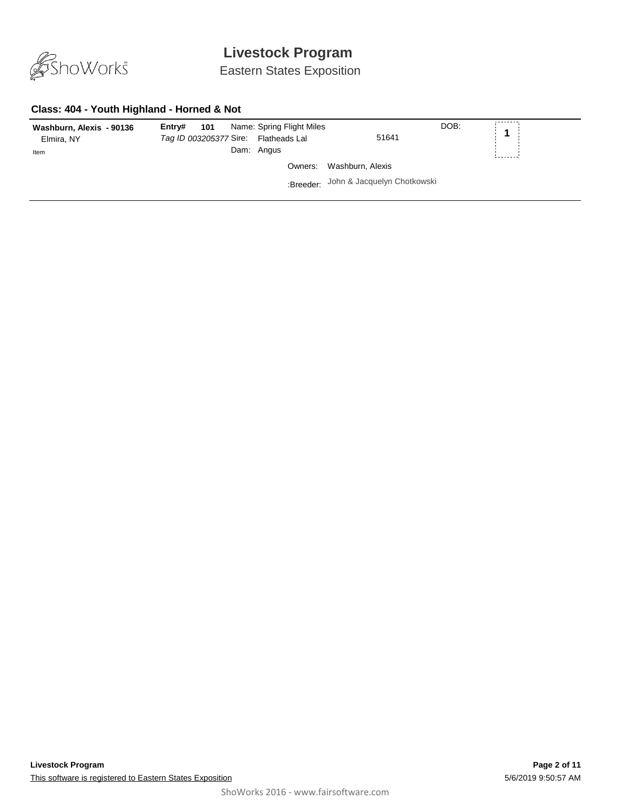

Eastern States Exposition

#### **Class: 404 - Youth Highland - Horned & Not**

| Washburn, Alexis - 90136<br>Elmira, NY<br>Item | Name: Spring Flight Miles<br>101<br>Entry#<br>Tag ID 003205377 Sire: Flatheads Lal<br>Dam: Angus | 51641                                 | DOB: | $\pm$ 4 $\pm$ |
|------------------------------------------------|--------------------------------------------------------------------------------------------------|---------------------------------------|------|---------------|
|                                                |                                                                                                  | Owners: Washburn, Alexis              |      |               |
|                                                |                                                                                                  | :Breeder: John & Jacquelyn Chotkowski |      |               |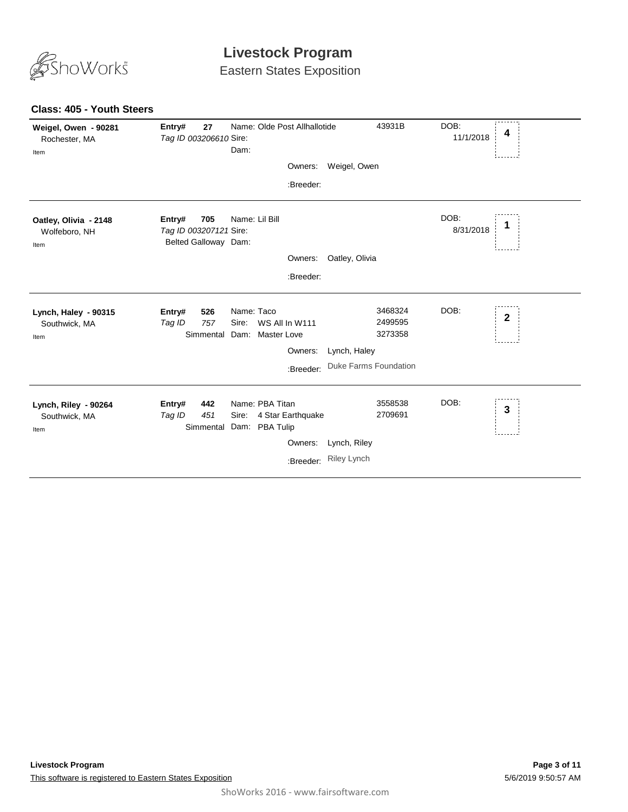

Eastern States Exposition

| Weigel, Owen - 90281<br>Rochester, MA<br>Item  | Entry#<br>27<br>Tag ID 003206610 Sire:                          | Name: Olde Post Allhallotide<br>Dam:<br>Owners:<br>:Breeder:                            | 43931B<br>Weigel, Owen                                                        | DOB:<br>4<br>11/1/2018 |
|------------------------------------------------|-----------------------------------------------------------------|-----------------------------------------------------------------------------------------|-------------------------------------------------------------------------------|------------------------|
| Oatley, Olivia - 2148<br>Wolfeboro, NH<br>Item | 705<br>Entry#<br>Tag ID 003207121 Sire:<br>Belted Galloway Dam: | Name: Lil Bill<br>Owners:<br>:Breeder:                                                  | Oatley, Olivia                                                                | DOB:<br>1<br>8/31/2018 |
| Lynch, Haley - 90315<br>Southwick, MA<br>Item  | 526<br>Entry#<br>757<br>Tag ID<br>Simmental                     | Name: Taco<br>WS All In W111<br>Sire:<br>Dam: Master Love<br>Owners:<br>:Breeder:       | 3468324<br>2499595<br>3273358<br>Lynch, Haley<br><b>Duke Farms Foundation</b> | DOB:<br>$\mathbf 2$    |
| Lynch, Riley - 90264<br>Southwick, MA<br>Item  | Entry#<br>442<br>Tag ID<br>451<br>Simmental                     | Name: PBA Titan<br>Sire:<br>4 Star Earthquake<br>Dam: PBA Tulip<br>Owners:<br>:Breeder: | 3558538<br>2709691<br>Lynch, Riley<br><b>Riley Lynch</b>                      | DOB:<br>3              |

#### **Class: 405 - Youth Steers**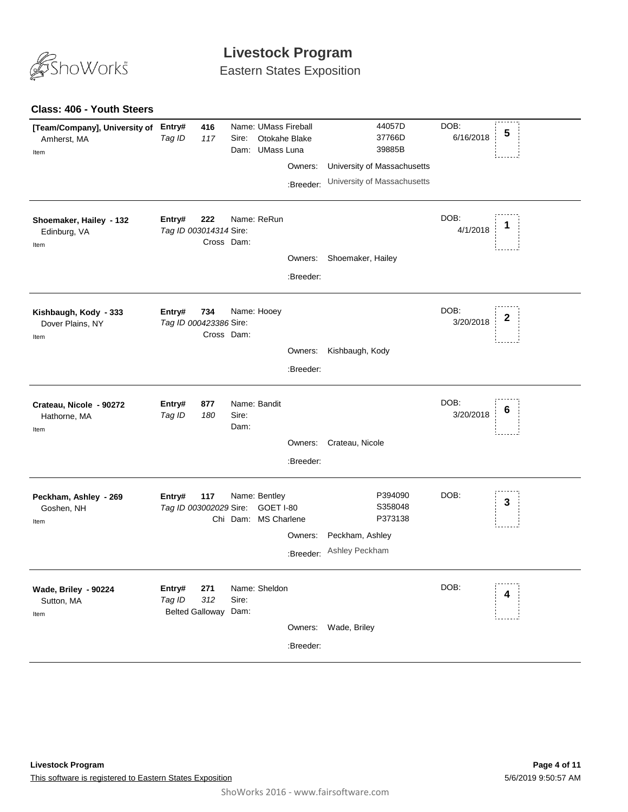

Eastern States Exposition

#### **Class: 406 - Youth Steers**

| [Team/Company], University of Entry#<br>Amherst, MA<br>Item | Tag ID                                   | 416<br>117        | Sire:         | Name: UMass Fireball<br>Otokahe Blake<br>Dam: UMass Luna | Owners:<br>:Breeder: | 44057D<br>37766D<br>39885B<br>University of Massachusetts<br>University of Massachusetts | DOB:<br>6/16/2018 | 5 |
|-------------------------------------------------------------|------------------------------------------|-------------------|---------------|----------------------------------------------------------|----------------------|------------------------------------------------------------------------------------------|-------------------|---|
| Shoemaker, Hailey - 132<br>Edinburg, VA<br>Item             | Entry#<br>Tag ID 003014314 Sire:         | 222<br>Cross Dam: |               | Name: ReRun                                              | Owners:<br>:Breeder: | Shoemaker, Hailey                                                                        | DOB:<br>4/1/2018  | 1 |
| Kishbaugh, Kody - 333<br>Dover Plains, NY<br>Item           | Entry#<br>Tag ID 000423386 Sire:         | 734<br>Cross Dam: |               | Name: Hooey                                              | Owners:<br>:Breeder: | Kishbaugh, Kody                                                                          | DOB:<br>3/20/2018 | 2 |
| Crateau, Nicole - 90272<br>Hathorne, MA<br>Item             | Entry#<br>Tag ID                         | 877<br>180        | Sire:<br>Dam: | Name: Bandit                                             | Owners:<br>:Breeder: | Crateau, Nicole                                                                          | DOB:<br>3/20/2018 | 6 |
| Peckham, Ashley - 269<br>Goshen, NH<br>Item                 | Entry#<br>Tag ID 003002029 Sire:         | 117               |               | Name: Bentley<br>GOET I-80<br>Chi Dam: MS Charlene       | Owners:<br>:Breeder: | P394090<br>S358048<br>P373138<br>Peckham, Ashley<br>Ashley Peckham                       | DOB:              | 3 |
| Wade, Briley - 90224<br>Sutton, MA<br>Item                  | Entry#<br>Tag ID<br>Belted Galloway Dam: | 271<br>312        | Sire:         | Name: Sheldon                                            | Owners:<br>:Breeder: | Wade, Briley                                                                             | DOB:              | 4 |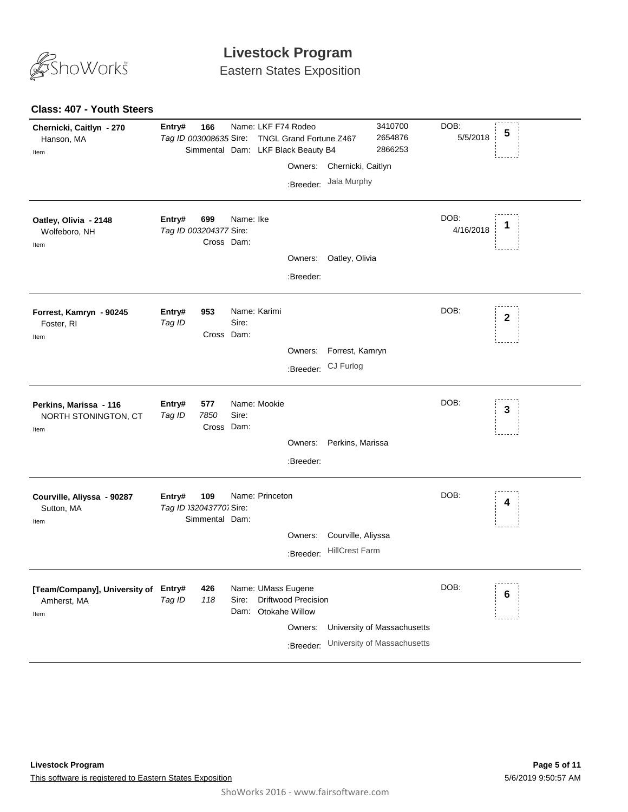

Eastern States Exposition

#### **Class: 407 - Youth Steers**

| Chernicki, Caitlyn - 270<br>Hanson, MA<br>Item              | Entry#<br>Tag ID 003008635 Sire:  | 166                       |                       |                 | Name: LKF F74 Rodeo<br>TNGL Grand Fortune Z467<br>Simmental Dam: LKF Black Beauty B4            |                                             | 3410700<br>2654876<br>2866253                              | DOB:<br>5/5/2018  | 5               |
|-------------------------------------------------------------|-----------------------------------|---------------------------|-----------------------|-----------------|-------------------------------------------------------------------------------------------------|---------------------------------------------|------------------------------------------------------------|-------------------|-----------------|
|                                                             |                                   |                           |                       |                 | Owners:<br>:Breeder:                                                                            | Chernicki, Caitlyn<br>Jala Murphy           |                                                            |                   |                 |
| Oatley, Olivia - 2148<br>Wolfeboro, NH<br>Item              | Entry#<br>Tag ID 003204377 Sire:  | 699<br>Cross Dam:         | Name: Ike             |                 | Owners:<br>:Breeder:                                                                            | Oatley, Olivia                              |                                                            | DOB:<br>4/16/2018 | 1               |
| Forrest, Kamryn - 90245<br>Foster, RI<br>Item               | Entry#<br>Tag ID                  | 953<br>Cross Dam:         | Name: Karimi<br>Sire: |                 | Owners:<br>:Breeder:                                                                            | Forrest, Kamryn<br>CJ Furlog                |                                                            | DOB:              | $\mathbf{2}$    |
| Perkins, Marissa - 116<br>NORTH STONINGTON, CT<br>Item      | Entry#<br>Tag ID                  | 577<br>7850<br>Cross Dam: | Sire:                 | Name: Mookie    | Owners:<br>:Breeder:                                                                            | Perkins, Marissa                            |                                                            | DOB:              | 3               |
| Courville, Aliyssa - 90287<br>Sutton, MA<br>Item            | Entry#<br>Tag ID 032043770. Sire: | 109<br>Simmental Dam:     |                       | Name: Princeton | Owners:<br>:Breeder:                                                                            | Courville, Aliyssa<br><b>HillCrest Farm</b> |                                                            | DOB:              | 4               |
| [Team/Company], University of Entry#<br>Amherst, MA<br>Item | Tag ID                            | 426<br>118                | Sire:                 |                 | Name: UMass Eugene<br><b>Driftwood Precision</b><br>Dam: Otokahe Willow<br>Owners:<br>:Breeder: |                                             | University of Massachusetts<br>University of Massachusetts | DOB:              | $6\phantom{1}6$ |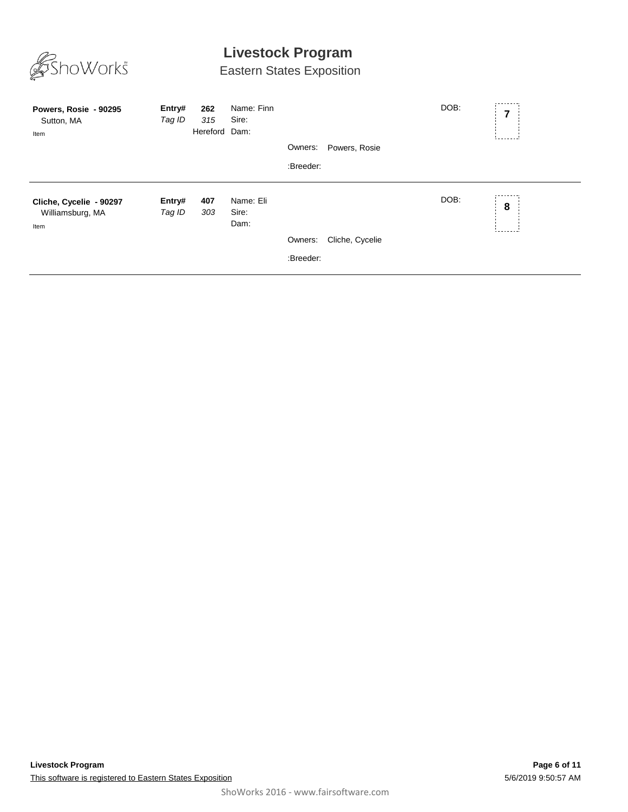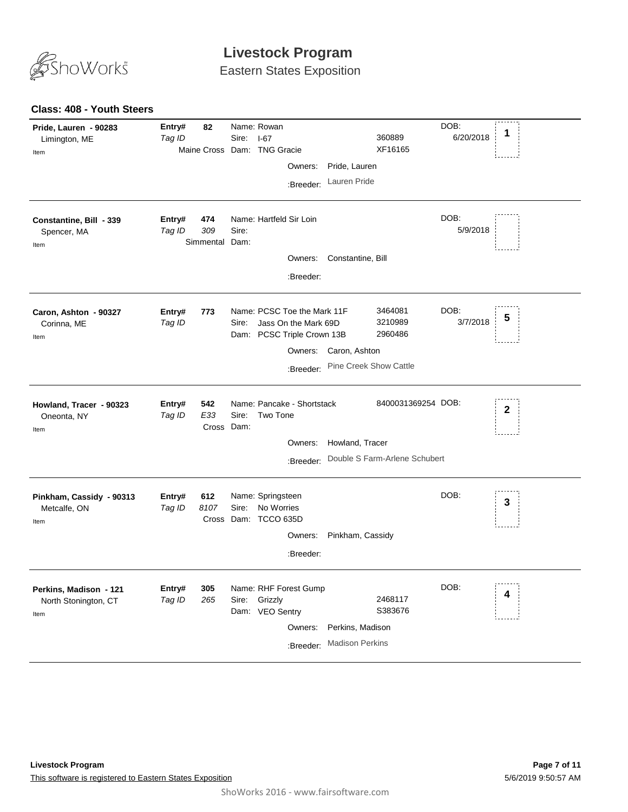

Eastern States Exposition

#### **Class: 408 - Youth Steers**

| Pride, Lauren - 90283<br>Limington, ME<br>Item         | Entry#<br>Tag ID | 82                           | Sire: | Name: Rowan<br>$I-67$<br>Maine Cross Dam: TNG Gracie<br>Owners:<br>:Breeder:                              | Pride, Lauren<br>Lauren Pride              | 360889<br>XF16165                                   | DOB:<br>6/20/2018 | 1            |
|--------------------------------------------------------|------------------|------------------------------|-------|-----------------------------------------------------------------------------------------------------------|--------------------------------------------|-----------------------------------------------------|-------------------|--------------|
| Constantine, Bill - 339<br>Spencer, MA<br>Item         | Entry#<br>Tag ID | 474<br>309<br>Simmental Dam: | Sire: | Name: Hartfeld Sir Loin<br>Owners:<br>:Breeder:                                                           | Constantine, Bill                          |                                                     | DOB:<br>5/9/2018  |              |
| Caron, Ashton - 90327<br>Corinna, ME<br>Item           | Entry#<br>Tag ID | 773                          | Sire: | Name: PCSC Toe the Mark 11F<br>Jass On the Mark 69D<br>Dam: PCSC Triple Crown 13B<br>Owners:<br>:Breeder: | Caron, Ashton<br>Pine Creek Show Cattle    | 3464081<br>3210989<br>2960486                       | DOB:<br>3/7/2018  | 5            |
| Howland, Tracer - 90323<br>Oneonta, NY<br>Item         | Entry#<br>Tag ID | 542<br>E33<br>Cross Dam:     | Sire: | Name: Pancake - Shortstack<br>Two Tone<br>Owners:<br>:Breeder:                                            | Howland, Tracer                            | 8400031369254 DOB:<br>Double S Farm-Arlene Schubert |                   | $\mathbf{2}$ |
| Pinkham, Cassidy - 90313<br>Metcalfe, ON<br>Item       | Entry#<br>Tag ID | 612<br>8107                  | Sire: | Name: Springsteen<br>No Worries<br>Cross Dam: TCCO 635D<br>Owners:<br>:Breeder:                           | Pinkham, Cassidy                           |                                                     | DOB:              | 3            |
| Perkins, Madison - 121<br>North Stonington, CT<br>Item | Entry#<br>Tag ID | 305<br>265                   | Sire: | Name: RHF Forest Gump<br>Grizzly<br>Dam: VEO Sentry<br>Owners:<br>:Breeder:                               | Perkins, Madison<br><b>Madison Perkins</b> | 2468117<br>S383676                                  | DOB:              | 4            |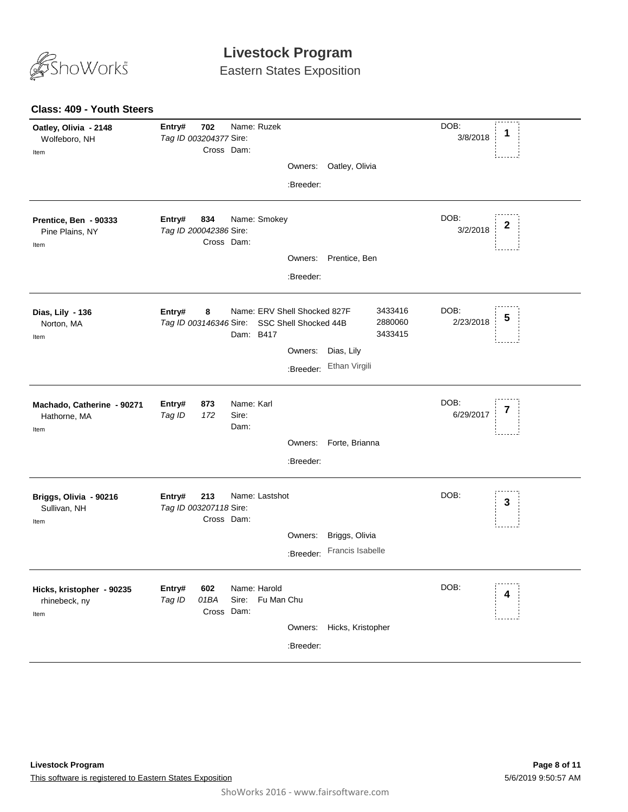

Eastern States Exposition

| <b>Class: 409 - Youth Steers</b>                   |                                         |                                                |                       |                               |                   |                  |
|----------------------------------------------------|-----------------------------------------|------------------------------------------------|-----------------------|-------------------------------|-------------------|------------------|
| Oatley, Olivia - 2148<br>Wolfeboro, NH<br>Item     | Entry#<br>702<br>Tag ID 003204377 Sire: | Name: Ruzek<br>Cross Dam:                      |                       |                               | DOB:<br>3/8/2018  | 1                |
|                                                    |                                         |                                                | Owners:               | Oatley, Olivia                |                   |                  |
|                                                    |                                         |                                                | :Breeder:             |                               |                   |                  |
| Prentice, Ben - 90333<br>Pine Plains, NY<br>Item   | Entry#<br>834<br>Tag ID 200042386 Sire: | Name: Smokey<br>Cross Dam:                     |                       |                               | DOB:<br>3/2/2018  | $\boldsymbol{2}$ |
|                                                    |                                         |                                                | Owners:               | Prentice, Ben                 |                   |                  |
|                                                    |                                         |                                                | :Breeder:             |                               |                   |                  |
| Dias, Lily - 136<br>Norton, MA<br>Item             | Entry#<br>8<br>Tag ID 003146346 Sire:   | Name: ERV Shell Shocked 827F<br>Dam: B417      | SSC Shell Shocked 44B | 3433416<br>2880060<br>3433415 | DOB:<br>2/23/2018 | 5                |
|                                                    |                                         |                                                | Owners:               | Dias, Lily                    |                   |                  |
|                                                    |                                         |                                                | :Breeder:             | Ethan Virgili                 |                   |                  |
| Machado, Catherine - 90271<br>Hathorne, MA<br>Item | Entry#<br>873<br>Tag ID<br>172          | Name: Karl<br>Sire:<br>Dam:                    |                       |                               | DOB:<br>6/29/2017 | 7                |
|                                                    |                                         |                                                | Owners:               | Forte, Brianna                |                   |                  |
|                                                    |                                         |                                                | :Breeder:             |                               |                   |                  |
| Briggs, Olivia - 90216<br>Sullivan, NH<br>Item     | Entry#<br>213<br>Tag ID 003207118 Sire: | Name: Lastshot<br>Cross Dam:                   |                       |                               | DOB:              | 3                |
|                                                    |                                         |                                                | Owners:               | Briggs, Olivia                |                   |                  |
|                                                    |                                         |                                                | :Breeder:             | Francis Isabelle              |                   |                  |
| Hicks, kristopher - 90235<br>rhinebeck, ny<br>Item | Entry#<br>602<br>Tag ID<br>01BA         | Name: Harold<br>Sire: Fu Man Chu<br>Cross Dam: |                       |                               | DOB:              | 4                |
|                                                    |                                         |                                                | Owners:               | Hicks, Kristopher             |                   |                  |
|                                                    |                                         |                                                | :Breeder:             |                               |                   |                  |
|                                                    |                                         |                                                |                       |                               |                   |                  |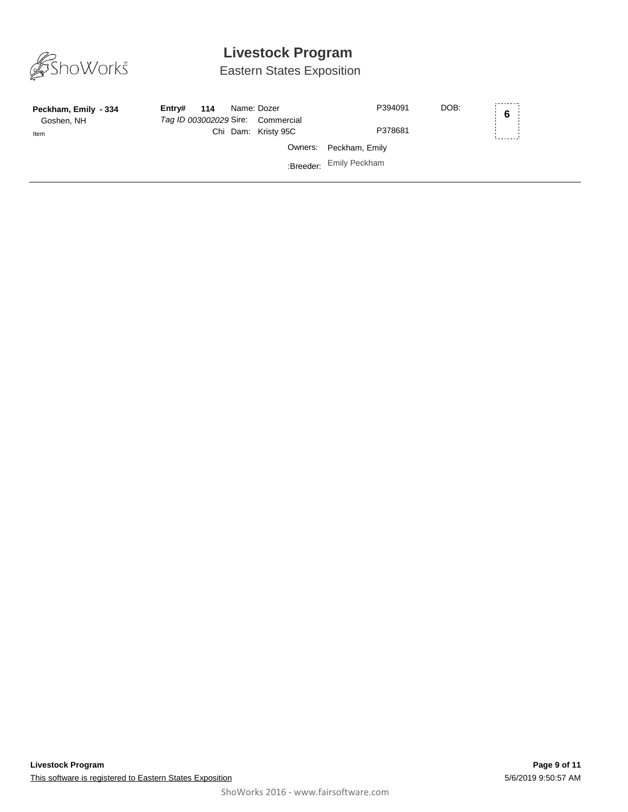

Eastern States Exposition

| Peckham, Emily - 334<br>Goshen, NH | Entrv# | 114 | Name: Dozer<br>Tag ID 003002029 Sire: Commercial | DOB:<br>P394091         | 6 <sup>1</sup> |
|------------------------------------|--------|-----|--------------------------------------------------|-------------------------|----------------|
| Item                               |        |     | Chi Dam: Kristy 95C                              | P378681                 |                |
|                                    |        |     |                                                  | Owners: Peckham, Emily  |                |
|                                    |        |     |                                                  | :Breeder: Emily Peckham |                |
|                                    |        |     |                                                  |                         |                |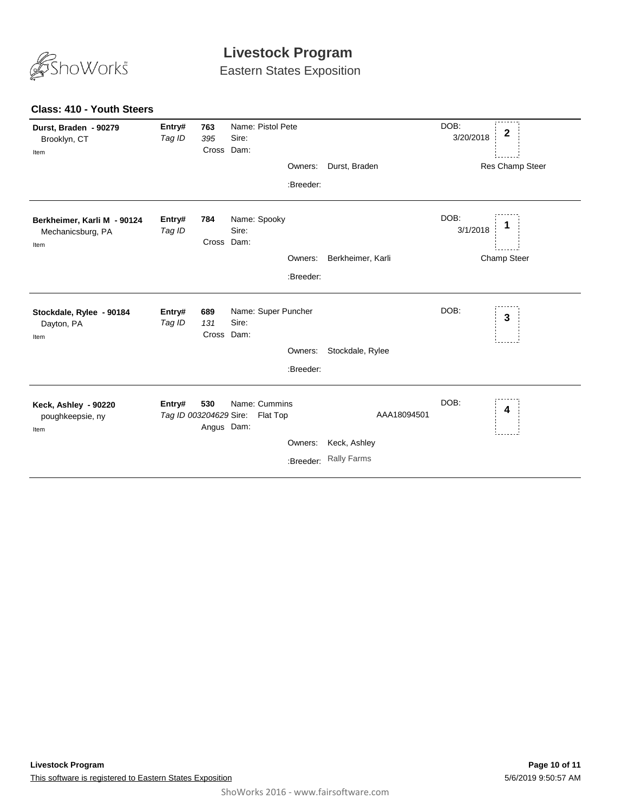

Eastern States Exposition

#### **Class: 410 - Youth Steers**

| Durst, Braden - 90279<br>Brooklyn, CT<br>Item            | Entry#<br>Tag ID                 | 763<br>395<br>Cross Dam: | Name: Pistol Pete<br>Sire:   |           |                    | DOB:<br>3/20/2018 | $\boldsymbol{2}$ |
|----------------------------------------------------------|----------------------------------|--------------------------|------------------------------|-----------|--------------------|-------------------|------------------|
|                                                          |                                  |                          |                              | Owners:   | Durst, Braden      |                   | Res Champ Steer  |
|                                                          |                                  |                          |                              | :Breeder: |                    |                   |                  |
| Berkheimer, Karli M - 90124<br>Mechanicsburg, PA<br>Item | Entry#<br>Tag ID                 | 784<br>Cross Dam:        | Name: Spooky<br>Sire:        |           |                    | DOB:<br>3/1/2018  |                  |
|                                                          |                                  |                          |                              | Owners:   | Berkheimer, Karli  |                   | Champ Steer      |
|                                                          |                                  |                          |                              | :Breeder: |                    |                   |                  |
| Stockdale, Rylee - 90184<br>Dayton, PA<br>Item           | Entry#<br>Tag ID                 | 689<br>131<br>Cross Dam: | Name: Super Puncher<br>Sire: | Owners:   | Stockdale, Rylee   | DOB:              | 3                |
|                                                          |                                  |                          |                              | :Breeder: |                    |                   |                  |
| Keck, Ashley - 90220<br>poughkeepsie, ny<br>Item         | Entry#<br>Tag ID 003204629 Sire: | 530<br>Angus Dam:        | Name: Cummins<br>Flat Top    |           | AAA18094501        | DOB:              | 4                |
|                                                          |                                  |                          |                              | Owners:   | Keck, Ashley       |                   |                  |
|                                                          |                                  |                          |                              | :Breeder: | <b>Rally Farms</b> |                   |                  |